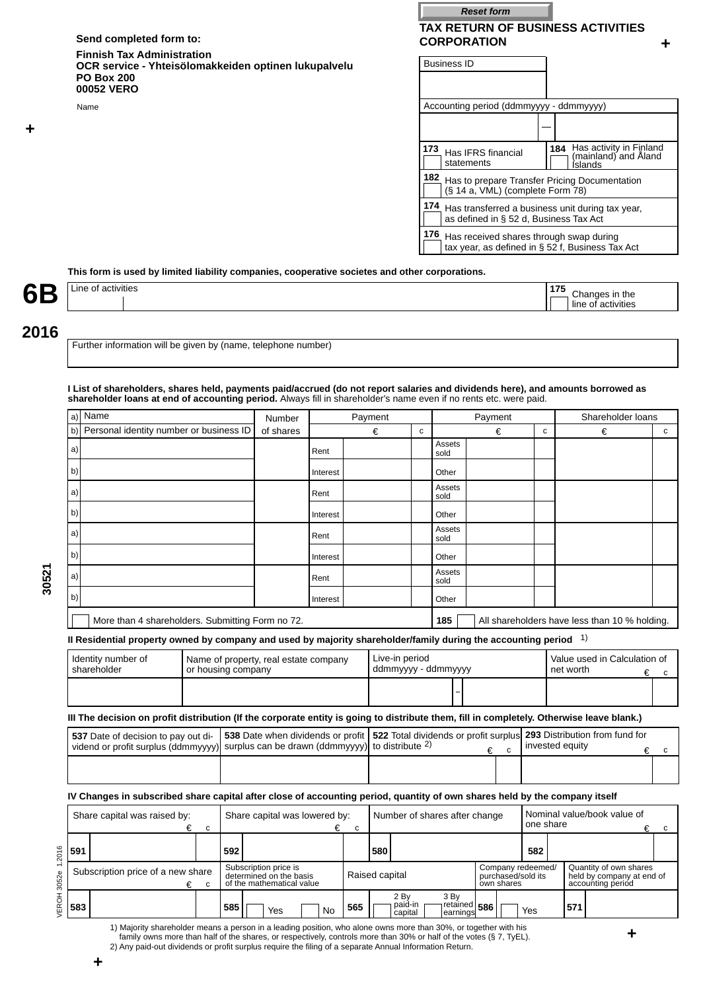## Send completed form to: **CORPORATION**

### **Finnish Tax Administration OCR service - Yhteisölomakkeiden optinen lukupalvelu PO Box 200 00052 VERO**

# **TAX RETURN OF BUSINESS ACTIVITIES Reset form**

**+**

| Finnish Tax Administration<br>OCR service - Yhteisölomakkeiden optinen lukupalvelu<br><b>PO Box 200</b><br>00052 VERO | <b>Business ID</b>                                                                                               |
|-----------------------------------------------------------------------------------------------------------------------|------------------------------------------------------------------------------------------------------------------|
| Name                                                                                                                  | Accounting period (ddmmyyyy - ddmmyyyy)                                                                          |
|                                                                                                                       |                                                                                                                  |
|                                                                                                                       | 184 Has activity in Finland<br>173<br>Has IFRS financial<br>(mainland) and Aland<br>statements<br><b>Islands</b> |
|                                                                                                                       | 182 Has to prepare Transfer Pricing Documentation<br>(§ 14 a, VML) (complete Form 78)                            |
|                                                                                                                       | 174 Has transferred a business unit during tax year,<br>as defined in § 52 d, Business Tax Act                   |
|                                                                                                                       | 176<br>Has received shares through swap during<br>tax year, as defined in § 52 f, Business Tax Act               |

## **This form is used by limited liability companies, cooperative societes and other corporations.**

| 6<br>- | activitios<br>$L$ Ine<br>шс | $\overline{\phantom{a}}$ | τne<br>'Itie. |
|--------|-----------------------------|--------------------------|---------------|
|        |                             |                          |               |

# **2016**

**30521**

**+**

Further information will be given by (name, telephone number)

#### **I List of shareholders, shares held, payments paid/accrued (do not report salaries and dividends here), and amounts borrowed as shareholder loans at end of accounting period.** Always fill in shareholder's name even if no rents etc. were paid.

| a)  | Name                                                                                                                                      |                    |     | Number                                                                        |          | Payment     |                |                            |                               | Payment      |                                                       |           |                 | Shareholder loans                                                        |                  |
|-----|-------------------------------------------------------------------------------------------------------------------------------------------|--------------------|-----|-------------------------------------------------------------------------------|----------|-------------|----------------|----------------------------|-------------------------------|--------------|-------------------------------------------------------|-----------|-----------------|--------------------------------------------------------------------------|------------------|
| b)  | Personal identity number or business ID                                                                                                   |                    |     | of shares                                                                     |          |             | €              | C                          |                               |              | €                                                     | с         |                 | €                                                                        | C                |
| a)  |                                                                                                                                           |                    |     |                                                                               | Rent     |             |                |                            | Assets<br>sold                |              |                                                       |           |                 |                                                                          |                  |
| b)  |                                                                                                                                           |                    |     |                                                                               | Interest |             |                |                            | Other                         |              |                                                       |           |                 |                                                                          |                  |
| a)  |                                                                                                                                           |                    |     |                                                                               | Rent     |             |                |                            | Assets<br>sold                |              |                                                       |           |                 |                                                                          |                  |
| b)  |                                                                                                                                           |                    |     |                                                                               | Interest |             |                |                            | Other                         |              |                                                       |           |                 |                                                                          |                  |
| a)  |                                                                                                                                           |                    |     |                                                                               | Rent     |             |                |                            | Assets<br>sold                |              |                                                       |           |                 |                                                                          |                  |
| b)  |                                                                                                                                           |                    |     |                                                                               | Interest |             |                |                            | Other                         |              |                                                       |           |                 |                                                                          |                  |
| a)  |                                                                                                                                           |                    |     |                                                                               | Rent     |             |                |                            | Assets<br>sold                |              |                                                       |           |                 |                                                                          |                  |
| b)  |                                                                                                                                           |                    |     |                                                                               | Interest |             |                |                            | Other                         |              |                                                       |           |                 |                                                                          |                  |
|     | More than 4 shareholders. Submitting Form no 72.                                                                                          |                    |     |                                                                               |          |             |                |                            | 185                           |              |                                                       |           |                 | All shareholders have less than 10 % holding.                            |                  |
|     | II Residential property owned by company and used by majority shareholder/family during the accounting period $1$ )                       |                    |     |                                                                               |          |             |                |                            |                               |              |                                                       |           |                 |                                                                          |                  |
|     | Identity number of<br>shareholder                                                                                                         | or housing company |     | Name of property, real estate company                                         |          |             |                | Live-in period             | ddmmyyyy - ddmmyyyy           |              |                                                       |           | net worth       | Value used in Calculation of                                             | €<br>C           |
|     |                                                                                                                                           |                    |     |                                                                               |          |             |                |                            |                               |              |                                                       |           |                 |                                                                          |                  |
|     | III The decision on profit distribution (If the corporate entity is going to distribute them, fill in completely. Otherwise leave blank.) |                    |     |                                                                               |          |             |                |                            |                               |              |                                                       |           |                 |                                                                          |                  |
|     | 537 Date of decision to pay out di-<br>vidend or profit surplus (ddmmyyyy)                                                                |                    |     | 538 Date when dividends or profit<br>surplus can be drawn (ddmmyyyy)          |          |             |                | to distribute $2$ )        |                               | €            |                                                       |           | invested equity | 522 Total dividends or profit surplus 293 Distribution from fund for     |                  |
|     |                                                                                                                                           |                    |     |                                                                               |          |             |                |                            |                               |              | C                                                     |           |                 |                                                                          | €<br>$\mathbf c$ |
|     |                                                                                                                                           |                    |     |                                                                               |          |             |                |                            |                               |              |                                                       |           |                 |                                                                          |                  |
|     | IV Changes in subscribed share capital after close of accounting period, quantity of own shares held by the company itself                |                    |     |                                                                               |          |             |                |                            |                               |              |                                                       |           |                 |                                                                          |                  |
|     | Share capital was raised by:                                                                                                              | €<br>$\mathbf c$   |     | Share capital was lowered by:                                                 | €        | $\mathbf c$ |                |                            | Number of shares after change |              |                                                       | one share |                 | Nominal value/book value of                                              | €<br>c           |
| 591 |                                                                                                                                           |                    | 592 |                                                                               |          |             | 580            |                            |                               |              |                                                       | 582       |                 |                                                                          |                  |
|     | Subscription price of a new share                                                                                                         | €<br>с             |     | Subscription price is<br>determined on the basis<br>of the mathematical value |          |             | Raised capital |                            |                               |              | Company redeemed/<br>purchased/sold its<br>own shares |           |                 | Quantity of own shares<br>held by company at end of<br>accounting period |                  |
| 583 |                                                                                                                                           |                    | 585 | Yes                                                                           | No       | 565         |                | 2 By<br>paid-in<br>capital | 3 By<br>learnings             | retained 586 |                                                       | Yes       | 571             |                                                                          |                  |

1) Majority shareholder means a person in a leading position, who alone owns more than 30%, or together with his family owns more than half of the shares, or respectively, controls more than 30% or half of the votes (§ 7, TyEL). 2) Any paid-out dividends or profit surplus require the filing of a separate Annual Information Return.

**+**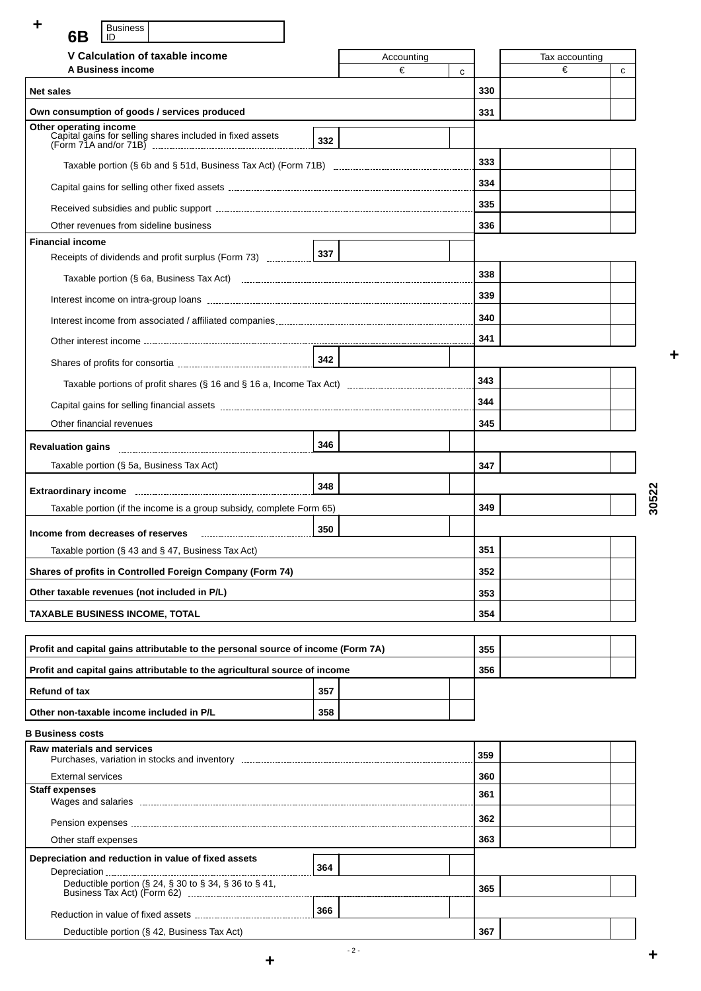Business **6B** ID

| V Calculation of taxable income                                                               |     | Accounting |     | Tax accounting |
|-----------------------------------------------------------------------------------------------|-----|------------|-----|----------------|
| A Business income                                                                             |     | €          | C   | €<br>C         |
| <b>Net sales</b>                                                                              |     |            | 330 |                |
| Own consumption of goods / services produced                                                  |     |            | 331 |                |
|                                                                                               | 332 |            |     |                |
|                                                                                               |     |            | 333 |                |
|                                                                                               |     |            | 334 |                |
|                                                                                               |     |            | 335 |                |
| Other revenues from sideline business                                                         |     |            | 336 |                |
| <b>Financial income</b>                                                                       |     |            |     |                |
| Receipts of dividends and profit surplus (Form 73)                                            | 337 |            |     |                |
|                                                                                               |     |            | 338 |                |
|                                                                                               |     |            | 339 |                |
|                                                                                               |     |            | 340 |                |
|                                                                                               |     |            | 341 |                |
|                                                                                               | 342 |            |     |                |
|                                                                                               |     |            | 343 |                |
|                                                                                               |     |            | 344 |                |
| Other financial revenues                                                                      |     |            | 345 |                |
|                                                                                               | 346 |            |     |                |
| Taxable portion (§ 5a, Business Tax Act)                                                      |     |            | 347 |                |
|                                                                                               | 348 |            |     |                |
| Taxable portion (if the income is a group subsidy, complete Form 65)                          |     |            | 349 |                |
|                                                                                               | 350 |            |     |                |
| Income from decreases of reserves<br>Taxable portion ( $\S$ 43 and $\S$ 47, Business Tax Act) |     |            | 351 |                |
| Shares of profits in Controlled Foreign Company (Form 74)                                     |     |            | 352 |                |
| Other taxable revenues (not included in P/L)                                                  |     |            | 353 |                |
|                                                                                               |     |            | 354 |                |
| <b>TAXABLE BUSINESS INCOME, TOTAL</b>                                                         |     |            |     |                |
| Profit and capital gains attributable to the personal source of income (Form 7A)              |     |            | 355 |                |
| Profit and capital gains attributable to the agricultural source of income                    |     |            | 356 |                |
| <b>Refund of tax</b>                                                                          | 357 |            |     |                |
| Other non-taxable income included in P/L                                                      | 358 |            |     |                |
| <b>B</b> Business costs                                                                       |     |            |     |                |
| <b>Raw materials and services</b>                                                             |     |            | 359 |                |
| <b>External services</b>                                                                      |     |            | 360 |                |
| <b>Staff expenses</b>                                                                         |     |            | 361 |                |
|                                                                                               |     |            | 362 |                |
| Other staff expenses                                                                          |     |            | 363 |                |
| Depreciation and reduction in value of fixed assets                                           |     |            |     |                |
|                                                                                               | 364 |            |     |                |
| Deductible portion (§ 24, § 30 to § 34, § 36 to § 41,                                         |     |            | 365 |                |
|                                                                                               | 366 |            |     |                |
| Deductible portion (§ 42, Business Tax Act)                                                   |     |            | 367 |                |

**30522**

**+**

 $- 2 -$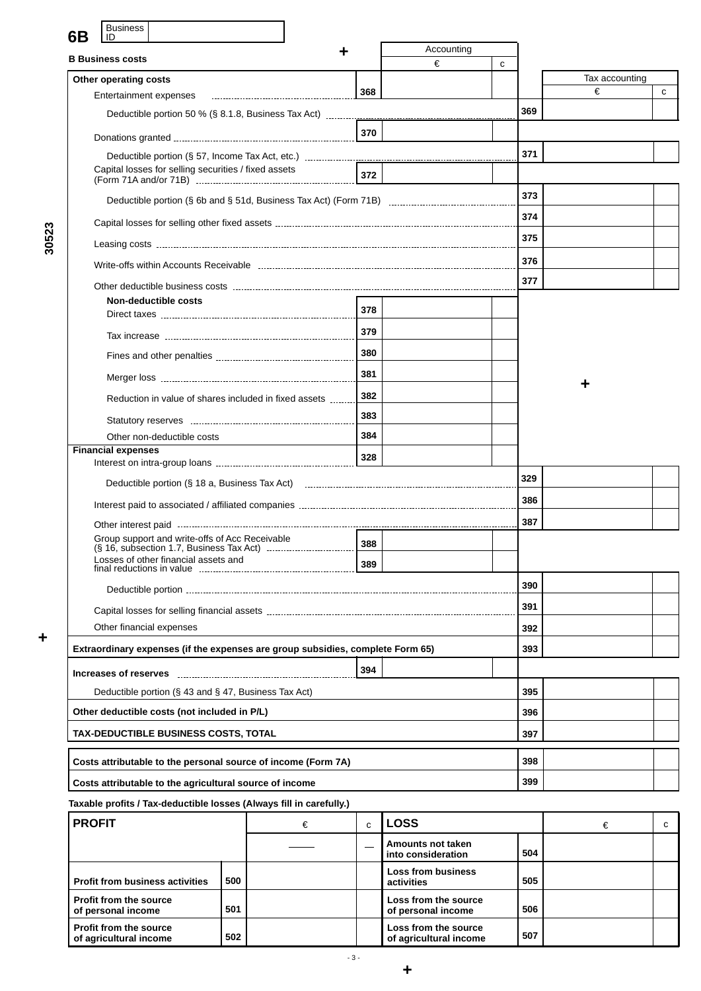| <b>Business</b><br>6Β<br>ID                                                                                   |     |            |   |     |                |   |  |  |
|---------------------------------------------------------------------------------------------------------------|-----|------------|---|-----|----------------|---|--|--|
| <b>B</b> Business costs                                                                                       |     | Accounting |   |     |                |   |  |  |
|                                                                                                               |     | €          | с |     | Tax accounting |   |  |  |
| Other operating costs<br>Entertainment expenses                                                               | 368 |            |   |     | €              | C |  |  |
|                                                                                                               |     |            |   | 369 |                |   |  |  |
|                                                                                                               | 370 |            |   |     |                |   |  |  |
|                                                                                                               |     |            |   | 371 |                |   |  |  |
| Capital losses for selling securities / fixed assets                                                          | 372 |            |   |     |                |   |  |  |
|                                                                                                               |     |            |   | 373 |                |   |  |  |
|                                                                                                               |     |            |   | 374 |                |   |  |  |
|                                                                                                               |     |            |   | 375 |                |   |  |  |
|                                                                                                               |     |            |   | 376 |                |   |  |  |
|                                                                                                               |     |            |   | 377 |                |   |  |  |
| Non-deductible costs                                                                                          |     |            |   |     |                |   |  |  |
|                                                                                                               | 378 |            |   |     |                |   |  |  |
|                                                                                                               | 379 |            |   |     |                |   |  |  |
|                                                                                                               | 380 |            |   |     |                |   |  |  |
|                                                                                                               | 381 |            |   |     |                |   |  |  |
| Reduction in value of shares included in fixed assets                                                         | 382 |            |   |     |                |   |  |  |
|                                                                                                               | 383 |            |   |     |                |   |  |  |
| Other non-deductible costs                                                                                    | 384 |            |   |     |                |   |  |  |
| <b>Financial expenses</b>                                                                                     | 328 |            |   |     |                |   |  |  |
| Deductible portion (§ 18 a, Business Tax Act) maturinan contract the control of the portion of the Delayation |     |            |   | 329 |                |   |  |  |
|                                                                                                               |     |            |   | 386 |                |   |  |  |
|                                                                                                               |     |            |   | 387 |                |   |  |  |
| Group support and write-offs of Acc Receivable                                                                | 388 |            |   |     |                |   |  |  |
| Losses of other financial assets and                                                                          | 389 |            |   |     |                |   |  |  |
|                                                                                                               |     |            |   | 390 |                |   |  |  |
|                                                                                                               |     |            |   | 391 |                |   |  |  |
| Other financial expenses                                                                                      |     |            |   | 392 |                |   |  |  |
| Extraordinary expenses (if the expenses are group subsidies, complete Form 65)                                |     |            |   | 393 |                |   |  |  |
|                                                                                                               | 394 |            |   |     |                |   |  |  |
| Deductible portion (§ 43 and § 47, Business Tax Act)                                                          |     |            |   | 395 |                |   |  |  |
| Other deductible costs (not included in P/L)                                                                  |     |            |   | 396 |                |   |  |  |
| <b>TAX-DEDUCTIBLE BUSINESS COSTS, TOTAL</b>                                                                   |     |            |   | 397 |                |   |  |  |
| Costs attributable to the personal source of income (Form 7A)                                                 |     |            |   | 398 |                |   |  |  |
| Costs attributable to the agricultural source of income                                                       |     |            |   | 399 |                |   |  |  |
| Taxable profits / Tax-deductible losses (Always fill in carefully.)                                           |     |            |   |     |                |   |  |  |

| <b>PROFIT</b>                                           |     | € | C. | <b>LOSS</b>                                    | €   |  |  |
|---------------------------------------------------------|-----|---|----|------------------------------------------------|-----|--|--|
|                                                         |     |   |    | Amounts not taken<br>into consideration        | 504 |  |  |
| <b>Profit from business activities</b>                  | 500 |   |    | <b>Loss from business</b><br>activities        | 505 |  |  |
| <b>Profit from the source</b><br>of personal income     | 501 |   |    | Loss from the source<br>of personal income     | 506 |  |  |
| <b>Profit from the source</b><br>of agricultural income | 502 |   |    | Loss from the source<br>of agricultural income | 507 |  |  |

**+**

- 3 -

**+**